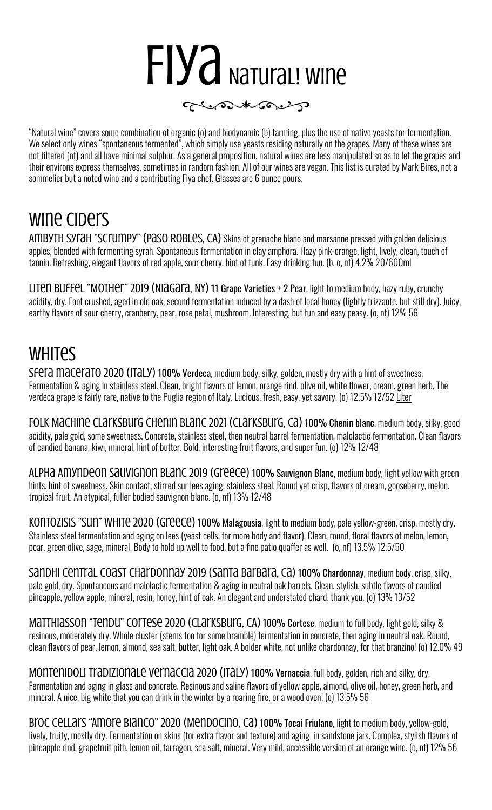# FIYA NATUraL! WINE



"Natural wine" covers some combination of organic (o) and biodynamic (b) farming, plus the use of native yeasts for fermentation. We select only wines "spontaneous fermented", which simply use yeasts residing naturally on the grapes. Many of these wines are not filtered (nf) and all have minimal sulphur. As a general proposition, natural wines are less manipulated so as to let the grapes and their environs express themselves, sometimes in random fashion. All of our wines are vegan. This list is curated by Mark Bires, not a sommelier but a noted wino and a contributing Fiya chef. Glasses are 6 ounce pours.

#### wine Ciders

AMBYTH SYTAH "SCTUMPY" (PASO ROBLES, CA) Skins of grenache blanc and marsanne pressed with golden delicious apples, blended with fermenting syrah. Spontaneous fermentation in clay amphora. Hazy pink-orange, light, lively, clean, touch of tannin. Refreshing, elegant flavors of red apple, sour cherry, hint of funk. Easy drinking fun. (b, o, nf) 4.2% 20/600ml

Liten Buffel "Mother" 2019 (Niagara, NY) 11 Grape Varieties + 2 Pear, light to medium body, hazy ruby, crunchy acidity, dry. Foot crushed, aged in old oak, second fermentation induced by a dash of local honey (lightly frizzante, but still dry). Juicy, earthy flavors of sour cherry, cranberry, pear, rose petal, mushroom. Interesting, but fun and easy peasy. (o, nf) 12% 56

## **WHITES**

SFera macerato 2020 (ITaLY) 100% Verdeca, medium body, silky, golden, mostly dry with a hint of sweetness. Fermentation & aging in stainless steel. Clean, bright flavors of lemon, orange rind, olive oil, white flower, cream, green herb. The verdeca grape is fairly rare, native to the Puglia region of Italy. Lucious, fresh, easy, yet savory. (o) 12.5% 12/52 Liter

Folk Machine Clarksburg Chenin Blanc 2021 (Clarksburg, Ca) 100% Chenin blanc, medium body, silky, good acidity, pale gold, some sweetness. Concrete, stainless steel, then neutral barrel fermentation, malolactic fermentation. Clean flavors of candied banana, kiwi, mineral, hint of butter. Bold, interesting fruit flavors, and super fun. (o) 12% 12/48

Alpha Amyndeon Sauvignon Blanc 2019 (Greece) 100% Sauvignon Blanc, medium body, light yellow with green hints, hint of sweetness. Skin contact, stirred sur lees aging, stainless steel. Round yet crisp, flavors of cream, gooseberry, melon, tropical fruit. An atypical, fuller bodied sauvignon blanc. (o, nf) 13% 12/48

KONTOZISIS "SUN" WHITE 2020 (GIECCE) 100% Malagousia, light to medium body, pale yellow-green, crisp, mostly dry. Stainless steel fermentation and aging on lees (yeast cells, for more body and flavor). Clean, round, floral flavors of melon, lemon, pear, green olive, sage, mineral. Body to hold up well to food, but a fine patio quaffer as well. (o, nf) 13.5% 12.5/50

Sandhi Central Coast Chardonnay 2019 (Santa BarBara, Ca) 100% Chardonnay, medium body, crisp, silky, pale gold, dry. Spontaneous and malolactic fermentation & aging in neutral oak barrels. Clean, stylish, subtle flavors of candied pineapple, yellow apple, mineral, resin, honey, hint of oak. An elegant and understated chard, thank you. (o) 13% 13/52

MATTHIASSON "TENDU" COLTESE 2020 (CLATKSBUIG, CA) 100% Cortese, medium to full body, light gold, silky & resinous, moderately dry. Whole cluster (stems too for some bramble) fermentation in concrete, then aging in neutral oak. Round, clean flavors of pear, lemon, almond, sea salt, butter, light oak. A bolder white, not unlike chardonnay, for that branzino! (o) 12.0% 49

MONTENIDOLI TraDIZIONALE VErNACCIA 2020 (ITALY) 100% Vernaccia, full body, golden, rich and silky, dry. Fermentation and aging in glass and concrete. Resinous and saline flavors of yellow apple, almond, olive oil, honey, green herb, and mineral. A nice, big white that you can drink in the winter by a roaring fire, or a wood oven! (o) 13.5% 56

Broc Cellars "Amore Bianco" 2020 (Mendocino, Ca) 100% Tocai Friulano, light to medium body, yellow-gold, lively, fruity, mostly dry. Fermentation on skins (for extra flavor and texture) and aging in sandstone jars. Complex, stylish flavors of pineapple rind, grapefruit pith, lemon oil, tarragon, sea salt, mineral. Very mild, accessible version of an orange wine. (o, nf) 12% 56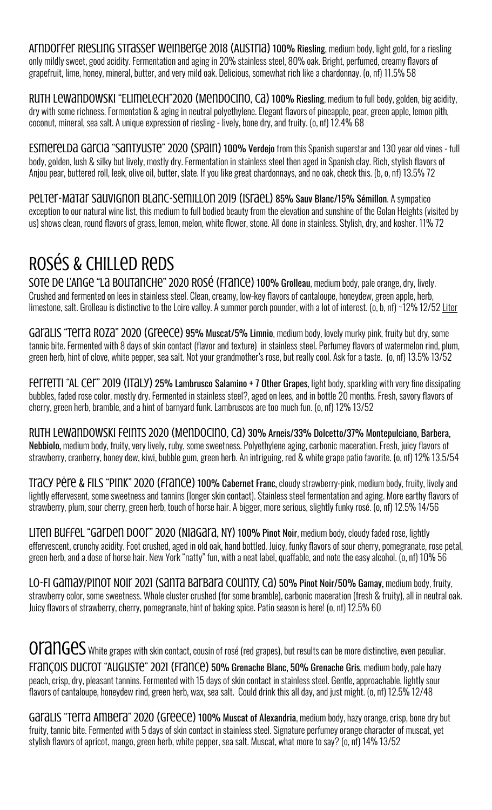Arndorfer Riesling Strasser Weinberge 2018 (Austria) 100% Riesling, medium body, light gold, for a riesling only mildly sweet, good acidity. Fermentation and aging in 20% stainless steel, 80% oak. Bright, perfumed, creamy flavors of grapefruit, lime, honey, mineral, butter, and very mild oak. Delicious, somewhat rich like a chardonnay. (o, nf) 11.5% 58

RUTH LEWANDOWSKI "ELIMELECH"2020 (MENDOCINO, CA) 100% Riesling, medium to full body, golden, big acidity, dry with some richness. Fermentation & aging in neutral polyethylene. Elegant flavors of pineapple, pear, green apple, lemon pith, coconut, mineral, sea salt. A unique expression of riesling - lively, bone dry, and fruity. (o, nf) 12.4% 68

Esmerelda Garcia "Santyuste" 2020 (Spain) 100% Verdejo from this Spanish superstar and 130 year old vines - full body, golden, lush & silky but lively, mostly dry. Fermentation in stainless steel then aged in Spanish clay. Rich, stylish flavors of Anjou pear, buttered roll, leek, olive oil, butter, slate. If you like great chardonnays, and no oak, check this. (b, o, nf) 13.5% 72

Pelter-Matar Sauvignon Blanc-Semillon 2019 (Israel) 85% Sauv Blanc/15% Sémillon. A sympatico exception to our natural wine list, this medium to full bodied beauty from the elevation and sunshine of the Golan Heights (visited by us) shows clean, round flavors of grass, lemon, melon, white flower, stone. All done in stainless. Stylish, dry, and kosher. 11% 72

## Rosés & Chilled Reds

Sote De L'Ange "La Boutanche" 2020 Rosé (France) 100% Grolleau, medium body, pale orange, dry, lively. Crushed and fermented on lees in stainless steel. Clean, creamy, low-key flavors of cantaloupe, honeydew, green apple, herb, limestone, salt. Grolleau is distinctive to the Loire valley. A summer porch pounder, with a lot of interest. (o, b, nf) ~12% 12/52 Liter

GaraLIS "Terra ROZA" 2020 (Greece) 95% Muscat/5% Limnio, medium body, lovely murky pink, fruity but dry, some tannic bite. Fermented with 8 days of skin contact (flavor and texture) in stainless steel. Perfumey flavors of watermelon rind, plum, green herb, hint of clove, white pepper, sea salt. Not your grandmother's rose, but really cool. Ask for a taste. (o, nf) 13.5% 13/52

Ferretti "AL Cer" 2019 (ITaLY) 25% Lambrusco Salamino + 7 Other Grapes, light body, sparkling with very fine dissipating bubbles, faded rose color, mostly dry. Fermented in stainless steel?, aged on lees, and in bottle 20 months. Fresh, savory flavors of cherry, green herb, bramble, and a hint of barnyard funk. Lambruscos are too much fun. (o, nf) 12% 13/52

Ruth Lewandowski Feints 2020 (Mendocino, Ca) 30% Arneis/33% Dolcetto/37% Montepulciano, Barbera, Nebbiolo, medium body, fruity, very lively, ruby, some sweetness. Polyethylene aging, carbonic maceration. Fresh, juicy flavors of strawberry, cranberry, honey dew, kiwi, bubble gum, green herb. An intriguing, red & white grape patio favorite. (o, nf) 12% 13.5/54

Tracy Pėre & Fils "Pink" 2020 (france) 100% Cabernet Franc, cloudy strawberry-pink, medium body, fruity, lively and lightly effervesent, some sweetness and tannins (longer skin contact). Stainless steel fermentation and aging. More earthy flavors of strawberry, plum, sour cherry, green herb, touch of horse hair. A bigger, more serious, slightly funky rosé. (o, nf) 12.5% 14/56

LITEN BUFFEL "GALDEN DOOL" 2020 (NIAGALA, NY) 100% Pinot Noir, medium body, cloudy faded rose, lightly effervescent, crunchy acidity. Foot crushed, aged in old oak, hand bottled, Juicy, funky flavors of sour cherry, pomegranate, rose petal, green herb, and a dose of horse hair. New York "natty" fun, with a neat label, quaffable, and note the easy alcohol. (o, nf) 10% 56

Lo-Fi Gamay/Pinot Noir 2021 (Santa Barbara County, Ca) 50% Pinot Noir/50% Gamay, medium body, fruity, strawberry color, some sweetness. Whole cluster crushed (for some bramble), carbonic maceration (fresh & fruity), all in neutral oak. Juicy flavors of strawberry, cherry, pomegranate, hint of baking spice. Patio season is here! (o, nf) 12.5% 60

 $07$ ang $\epsilon$ S white grapes with skin contact, cousin of rosé (red grapes), but results can be more distinctive, even peculiar. François Ducrot "Auguste" 2021 (France) 50% Grenache Blanc, 50% Grenache Gris, medium body, pale hazy peach, crisp, dry, pleasant tannins. Fermented with 15 days of skin contact in stainless steel. Gentle, approachable, lightly sour flavors of cantaloupe, honeydew rind, green herb, wax, sea salt. Could drink this all day, and just might. (o, nf) 12.5% 12/48

Garalis "Terra Ambera" 2020 (Greece) 100% Muscat of Alexandria, medium body, hazy orange, crisp, bone dry but fruity, tannic bite. Fermented with 5 days of skin contact in stainless steel. Signature perfumey orange character of muscat, yet stylish flavors of apricot, mango, green herb, white pepper, sea salt. Muscat, what more to say? (o, nf) 14% 13/52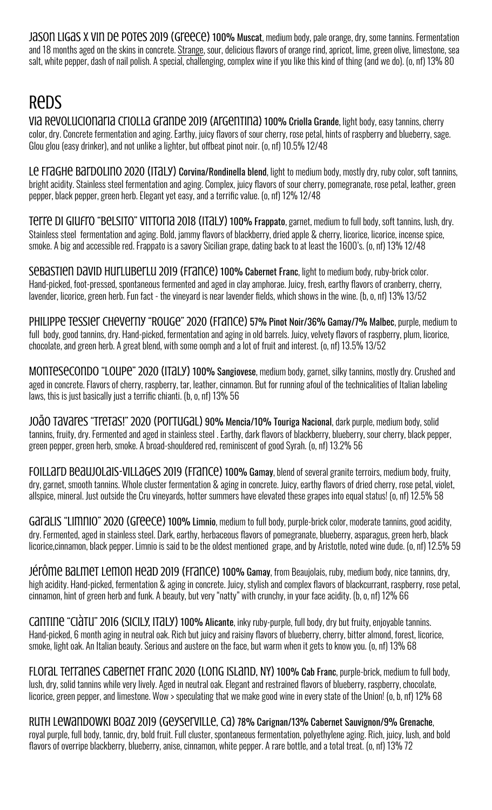JASON LIGAS X VIN DE POTES 2019 (GIEECE) 100% Muscat, medium body, pale orange, dry, some tannins. Fermentation and 18 months aged on the skins in concrete. Strange, sour, delicious flavors of orange rind, apricot, lime, green olive, limestone, sea salt, white pepper, dash of nail polish. A special, challenging, complex wine if you like this kind of thing (and we do). (o, nf) 13% 80

## **ReDS**

Via Revolucionaria Criolla Grande 2019 (Argentina) 100% Criolla Grande, light body, easy tannins, cherry color, dry. Concrete fermentation and aging. Earthy, juicy flavors of sour cherry, rose petal, hints of raspberry and blueberry, sage. Glou glou (easy drinker), and not unlike a lighter, but offbeat pinot noir. (o, nf) 10.5% 12/48

Le Fraghe Bardolino 2020 (ITaly) Corvina/Rondinella blend, light to medium body, mostly dry, ruby color, soft tannins, bright acidity. Stainless steel fermentation and aging. Complex, juicy flavors of sour cherry, pomegranate, rose petal, leather, green pepper, black pepper, green herb. Elegant yet easy, and a terrific value. (o, nf) 12% 12/48

Terre DI GIUFTO "BeLSITO" VITTOFIA 2018 (ITALY) 100% Frappato, garnet, medium to full body, soft tannins, lush, dry. Stainless steel fermentation and aging. Bold, jammy flavors of blackberry, dried apple & cherry, licorice, licorice, incense spice, smoke. A big and accessible red. Frappato is a savory Sicilian grape, dating back to at least the 1600's. (o, nf) 13% 12/48

Sebastien David Hurluberlu 2019 (France) 100% Cabernet Franc, light to medium body, ruby-brick color. Hand-picked, foot-pressed, spontaneous fermented and aged in clay amphorae. Juicy, fresh, earthy flavors of cranberry, cherry, lavender, licorice, green herb. Fun fact - the vineyard is near lavender fields, which shows in the wine. (b, o, nf) 13% 13/52

Philippe Tessier Cheverny "Rouge" 2020 (France) 57% Pinot Noir/36% Gamay/7% Malbec, purple, medium to full body, good tannins, dry. Hand-picked, fermentation and aging in old barrels. Juicy, velvety flavors of raspberry, plum, licorice, chocolate, and green herb. A great blend, with some oomph and a lot of fruit and interest. (o, nf) 13.5% 13/52

MONTESECONDO "LOUPE" 2020 (ITALY) 100% Sangiovese, medium body, garnet, silky tannins, mostly dry. Crushed and aged in concrete. Flavors of cherry, raspberry, tar, leather, cinnamon. But for running afoul of the technicalities of Italian labeling laws, this is just basically just a terrific chianti. (b, o, nf) 13% 56

João Tavares "Tretas!" 2020 (PortugaL) 90% Mencia/10% Touriga Nacional, dark purple, medium body, solid tannins, fruity, dry. Fermented and aged in stainless steel . Earthy, dark flavors of blackberry, blueberry, sour cherry, black pepper, green pepper, green herb, smoke. A broad-shouldered red, reminiscent of good Syrah. (o, nf) 13.2% 56

FOILLATD BEAUJOLAIS-VILLAGES 2019 (FTANCE) 100% Gamay, blend of several granite terroirs, medium body, fruity, dry, garnet, smooth tannins. Whole cluster fermentation & aging in concrete. Juicy, earthy flavors of dried cherry, rose petal, violet, allspice, mineral. Just outside the Cru vineyards, hotter summers have elevated these grapes into equal status! (o, nf) 12.5% 58

GaraLIS "LIMNIO" 2020 (Greece) 100% Limnio, medium to full body, purple-brick color, moderate tannins, good acidity, dry. Fermented, aged in stainless steel. Dark, earthy, herbaceous flavors of pomegranate, blueberry, asparagus, green herb, black licorice,cinnamon, black pepper. Limnio is said to be the oldest mentioned grape, and by Aristotle, noted wine dude. (o, nf) 12.5% 59

Jérôme Balmet Lemon Head 2019 (France) 100% Gamay, from Beaujolais, ruby, medium body, nice tannins, dry, high acidity. Hand-picked, fermentation & aging in concrete. Juicy, stylish and complex flavors of blackcurrant, raspberry, rose petal, cinnamon, hint of green herb and funk. A beauty, but very "natty" with crunchy, in your face acidity. (b, o, nf) 12% 66

CANTINE "CIÀTU" 2016 (SICILY, ITALY) 100% Alicante, inky ruby-purple, full body, dry but fruity, enjoyable tannins. Hand-picked, 6 month aging in neutral oak. Rich but juicy and raisiny flavors of blueberry, cherry, bitter almond, forest, licorice, smoke, light oak. An Italian beauty. Serious and austere on the face, but warm when it gets to know you. (o, nf) 13% 68

Floral Terranes Cabernet Franc 2020 (Long Island, NY) 100% Cab Franc, purple-brick, medium to full body, lush, dry, solid tannins while very lively. Aged in neutral oak. Elegant and restrained flavors of blueberry, raspberry, chocolate, licorice, green pepper, and limestone. Wow > speculating that we make good wine in every state of the Union! (o, b, nf) 12% 68

RUTH LEWANDOWKI BOAZ 2019 (GEYSETVILLE, CA) 78% Carignan/13% Cabernet Sauvignon/9% Grenache, royal purple, full body, tannic, dry, bold fruit. Full cluster, spontaneous fermentation, polyethylene aging. Rich, juicy, lush, and bold flavors of overripe blackberry, blueberry, anise, cinnamon, white pepper. A rare bottle, and a total treat. (o, nf) 13% 72